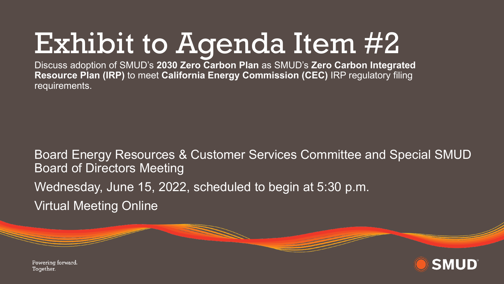## Exhibit to Agenda Item #2

Discuss adoption of SMUD's **2030 Zero Carbon Plan** as SMUD's **Zero Carbon Integrated Resource Plan (IRP)** to meet **California Energy Commission (CEC)** IRP regulatory filing requirements.

Board Energy Resources & Customer Services Committee and Special SMUD Board of Directors Meeting Wednesday, June 15, 2022, scheduled to begin at 5:30 p.m. Virtual Meeting Online



Powering forward. Together.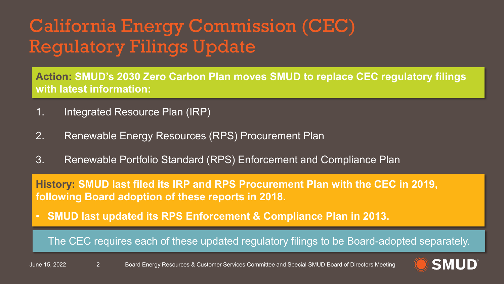### California Energy Commission (CEC) Regulatory Filings Update

**Action: SMUD's 2030 Zero Carbon Plan moves SMUD to replace CEC regulatory filings with latest information:**

- 1. Integrated Resource Plan (IRP)
- 2. Renewable Energy Resources (RPS) Procurement Plan
- 3. Renewable Portfolio Standard (RPS) Enforcement and Compliance Plan

**History: SMUD last filed its IRP and RPS Procurement Plan with the CEC in 2019, following Board adoption of these reports in 2018.** 

• **SMUD last updated its RPS Enforcement & Compliance Plan in 2013.**

The CEC requires each of these updated regulatory filings to be Board-adopted separately.

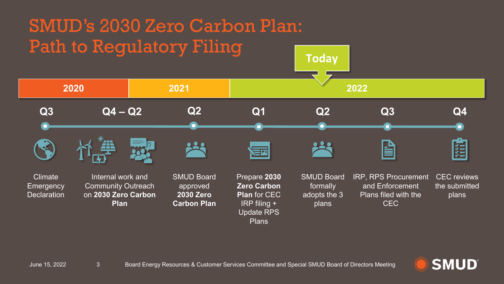

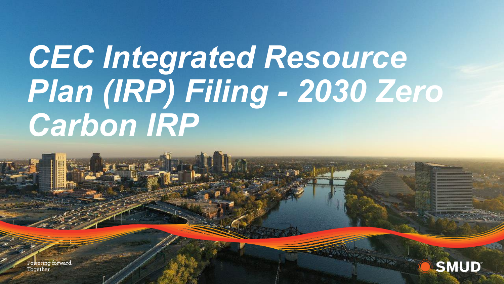# *CEC Integrated Resource Plan (IRP) Filing - 2030 Zero Carbon IRP*

Powering forward. Together.

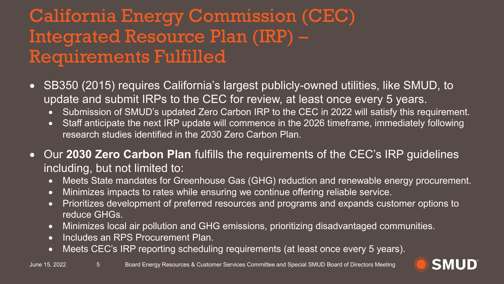### California Energy Commission (CEC) Integrated Resource Plan (IRP) – Requirements Fulfilled

- SB350 (2015) requires California's largest publicly-owned utilities, like SMUD, to update and submit IRPs to the CEC for review, at least once every 5 years.
	- Submission of SMUD's updated Zero Carbon IRP to the CEC in 2022 will satisfy this requirement.
	- Staff anticipate the next IRP update will commence in the 2026 timeframe, immediately following research studies identified in the 2030 Zero Carbon Plan.
- Our **2030 Zero Carbon Plan** fulfills the requirements of the CEC's IRP guidelines including, but not limited to:
	- Meets State mandates for Greenhouse Gas (GHG) reduction and renewable energy procurement.
	- Minimizes impacts to rates while ensuring we continue offering reliable service.
	- Prioritizes development of preferred resources and programs and expands customer options to reduce GHGs.
	- Minimizes local air pollution and GHG emissions, prioritizing disadvantaged communities.
	- Includes an RPS Procurement Plan.
	- Meets CEC's IRP reporting scheduling requirements (at least once every 5 years).